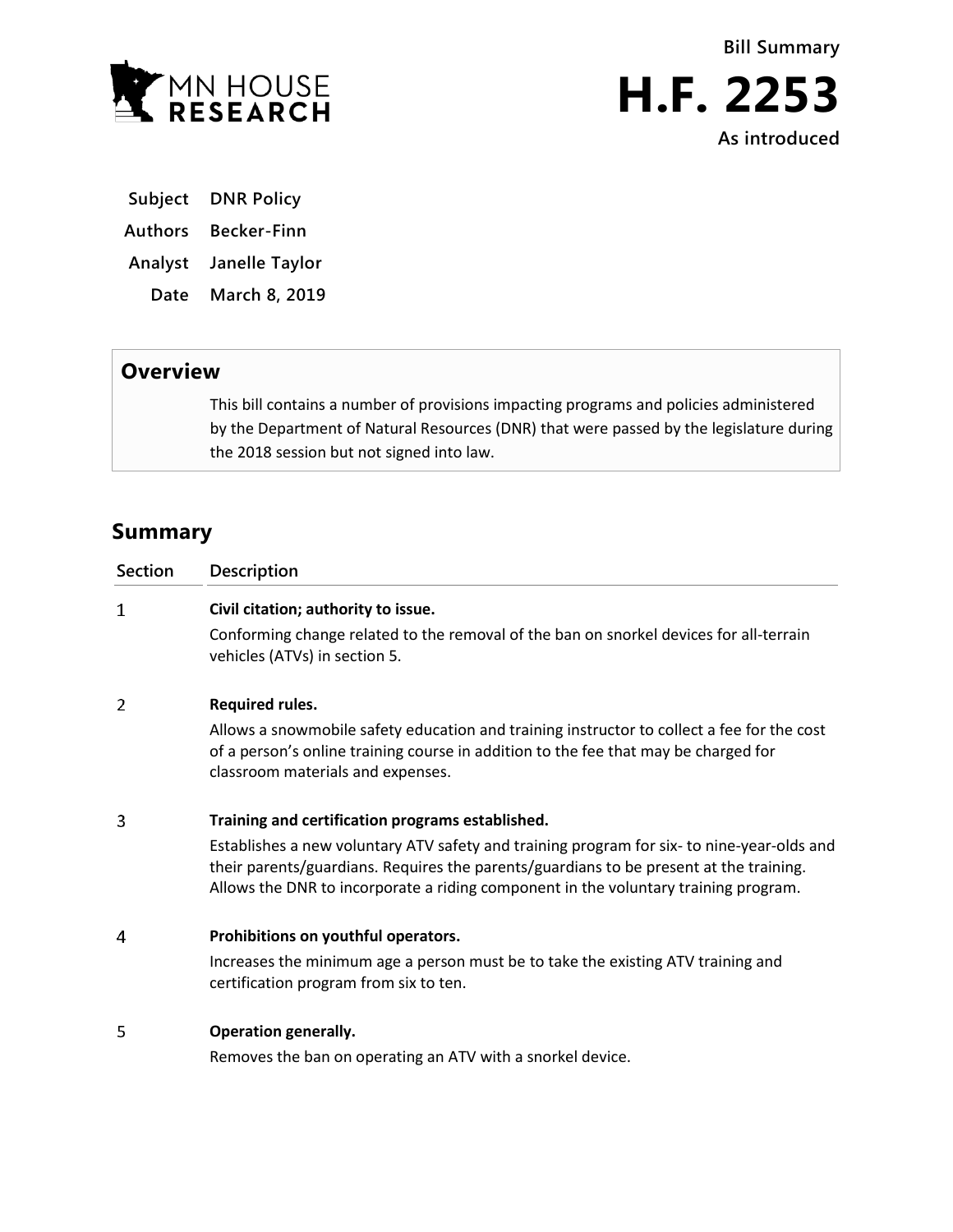

**Bill Summary**



**Subject DNR Policy**

- **Authors Becker-Finn**
- **Analyst Janelle Taylor**
	- **Date March 8, 2019**

## **Overview**

This bill contains a number of provisions impacting programs and policies administered by the Department of Natural Resources (DNR) that were passed by the legislature during the 2018 session but not signed into law.

# **Summary**

| <b>Section</b> | <b>Description</b>                                                                                                                                                                                                                                                          |
|----------------|-----------------------------------------------------------------------------------------------------------------------------------------------------------------------------------------------------------------------------------------------------------------------------|
| 1              | Civil citation; authority to issue.                                                                                                                                                                                                                                         |
|                | Conforming change related to the removal of the ban on snorkel devices for all-terrain<br>vehicles (ATVs) in section 5.                                                                                                                                                     |
| 2              | <b>Required rules.</b>                                                                                                                                                                                                                                                      |
|                | Allows a snowmobile safety education and training instructor to collect a fee for the cost<br>of a person's online training course in addition to the fee that may be charged for<br>classroom materials and expenses.                                                      |
| 3              | Training and certification programs established.                                                                                                                                                                                                                            |
|                | Establishes a new voluntary ATV safety and training program for six- to nine-year-olds and<br>their parents/guardians. Requires the parents/guardians to be present at the training.<br>Allows the DNR to incorporate a riding component in the voluntary training program. |
| 4              | Prohibitions on youthful operators.                                                                                                                                                                                                                                         |
|                | Increases the minimum age a person must be to take the existing ATV training and<br>certification program from six to ten.                                                                                                                                                  |
| 5              | <b>Operation generally.</b>                                                                                                                                                                                                                                                 |
|                | Removes the ban on operating an ATV with a snorkel device.                                                                                                                                                                                                                  |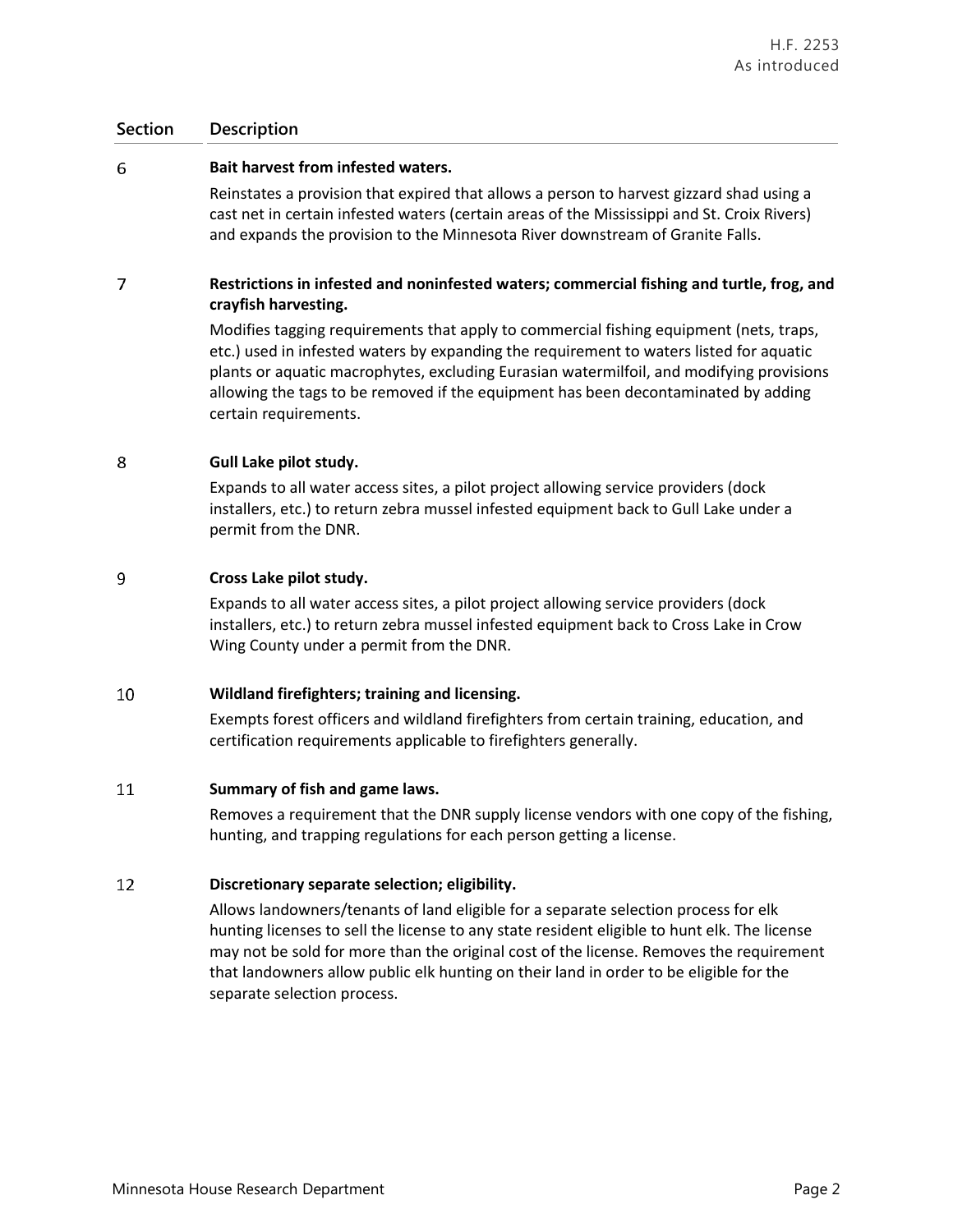## **Section Description**

#### 6 **Bait harvest from infested waters.**

Reinstates a provision that expired that allows a person to harvest gizzard shad using a cast net in certain infested waters (certain areas of the Mississippi and St. Croix Rivers) and expands the provision to the Minnesota River downstream of Granite Falls.

### $\overline{7}$ **Restrictions in infested and noninfested waters; commercial fishing and turtle, frog, and crayfish harvesting.**

Modifies tagging requirements that apply to commercial fishing equipment (nets, traps, etc.) used in infested waters by expanding the requirement to waters listed for aquatic plants or aquatic macrophytes, excluding Eurasian watermilfoil, and modifying provisions allowing the tags to be removed if the equipment has been decontaminated by adding certain requirements.

#### 8 **Gull Lake pilot study.**

Expands to all water access sites, a pilot project allowing service providers (dock installers, etc.) to return zebra mussel infested equipment back to Gull Lake under a permit from the DNR.

#### 9 **Cross Lake pilot study.**

Expands to all water access sites, a pilot project allowing service providers (dock installers, etc.) to return zebra mussel infested equipment back to Cross Lake in Crow Wing County under a permit from the DNR.

#### 10 **Wildland firefighters; training and licensing.**

Exempts forest officers and wildland firefighters from certain training, education, and certification requirements applicable to firefighters generally.

#### 11 **Summary of fish and game laws.**

Removes a requirement that the DNR supply license vendors with one copy of the fishing, hunting, and trapping regulations for each person getting a license.

#### **Discretionary separate selection; eligibility.** 12

Allows landowners/tenants of land eligible for a separate selection process for elk hunting licenses to sell the license to any state resident eligible to hunt elk. The license may not be sold for more than the original cost of the license. Removes the requirement that landowners allow public elk hunting on their land in order to be eligible for the separate selection process.